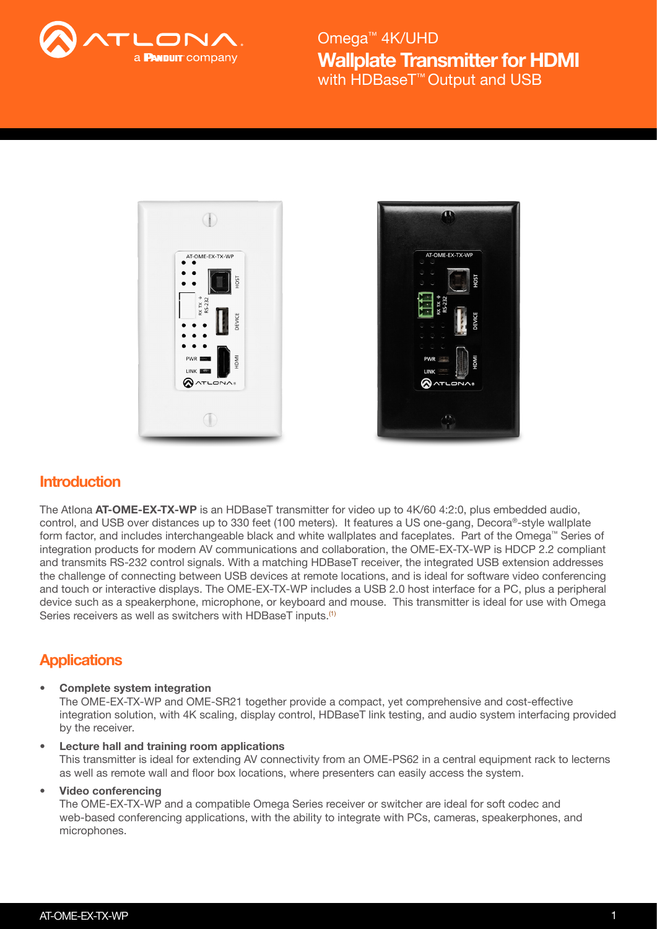





# **Introduction**

The Atlona AT-OME-EX-TX-WP is an HDBaseT transmitter for video up to 4K/60 4:2:0, plus embedded audio, control, and USB over distances up to 330 feet (100 meters). It features a US one-gang, Decora®-style wallplate form factor, and includes interchangeable black and white wallplates and faceplates. Part of the Omega™ Series of integration products for modern AV communications and collaboration, the OME-EX-TX-WP is HDCP 2.2 compliant and transmits RS-232 control signals. With a matching HDBaseT receiver, the integrated USB extension addresses the challenge of connecting between USB devices at remote locations, and is ideal for software video conferencing and touch or interactive displays. The OME-EX-TX-WP includes a USB 2.0 host interface for a PC, plus a peripheral device such as a speakerphone, microphone, or keyboard and mouse. This transmitter is ideal for use with Omega Series receivers as well as switchers with HDBaseT inputs.<sup>(1)</sup>

# **Applications**

• Complete system integration

The OME-EX-TX-WP and OME-SR21 together provide a compact, yet comprehensive and cost-effective integration solution, with 4K scaling, display control, HDBaseT link testing, and audio system interfacing provided by the receiver.

Lecture hall and training room applications This transmitter is ideal for extending AV connectivity from an OME-PS62 in a central equipment rack to lecterns as well as remote wall and floor box locations, where presenters can easily access the system.

### • Video conferencing

The OME-EX-TX-WP and a compatible Omega Series receiver or switcher are ideal for soft codec and web-based conferencing applications, with the ability to integrate with PCs, cameras, speakerphones, and microphones.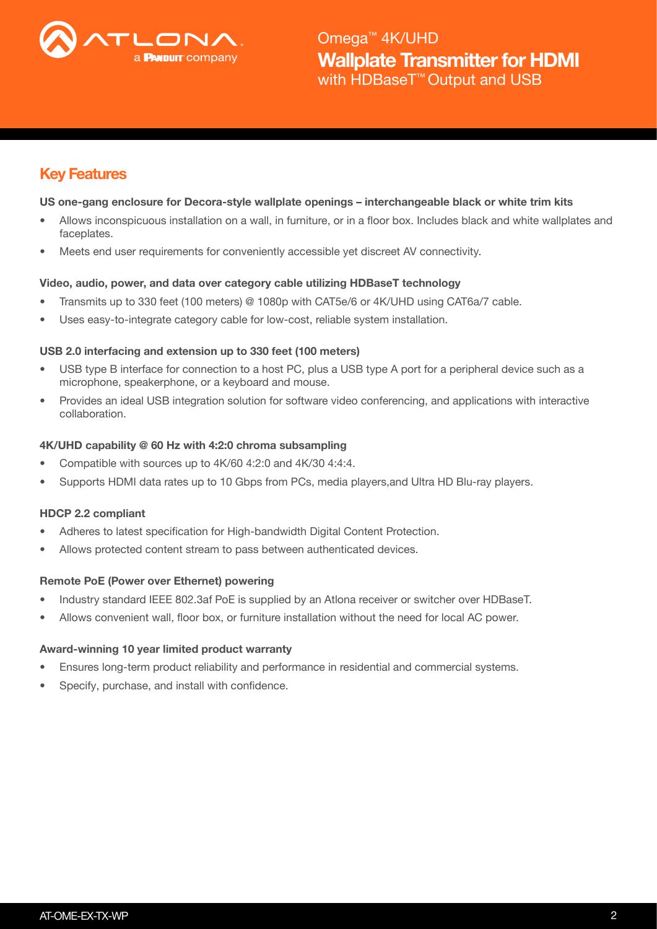

# Key Features

## US one-gang enclosure for Decora-style wallplate openings – interchangeable black or white trim kits

- Allows inconspicuous installation on a wall, in furniture, or in a floor box. Includes black and white wallplates and faceplates.
- Meets end user requirements for conveniently accessible yet discreet AV connectivity.

## Video, audio, power, and data over category cable utilizing HDBaseT technology

- Transmits up to 330 feet (100 meters) @ 1080p with CAT5e/6 or 4K/UHD using CAT6a/7 cable.
- Uses easy-to-integrate category cable for low-cost, reliable system installation.

## USB 2.0 interfacing and extension up to 330 feet (100 meters)

- USB type B interface for connection to a host PC, plus a USB type A port for a peripheral device such as a microphone, speakerphone, or a keyboard and mouse.
- Provides an ideal USB integration solution for software video conferencing, and applications with interactive collaboration.

## 4K/UHD capability @ 60 Hz with 4:2:0 chroma subsampling

- Compatible with sources up to 4K/60 4:2:0 and 4K/30 4:4:4.
- Supports HDMI data rates up to 10 Gbps from PCs, media players,and Ultra HD Blu-ray players.

## HDCP 2.2 compliant

- Adheres to latest specification for High-bandwidth Digital Content Protection.
- Allows protected content stream to pass between authenticated devices.

### Remote PoE (Power over Ethernet) powering

- Industry standard IEEE 802.3af PoE is supplied by an Atlona receiver or switcher over HDBaseT.
- Allows convenient wall, floor box, or furniture installation without the need for local AC power.

### Award-winning 10 year limited product warranty

- Ensures long-term product reliability and performance in residential and commercial systems.
- Specify, purchase, and install with confidence.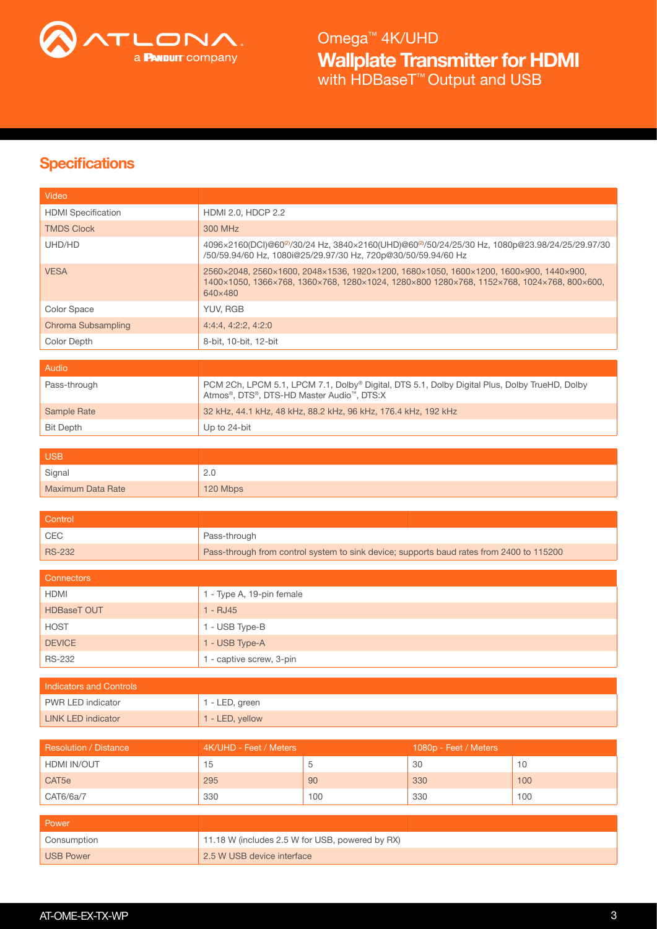

# **Specifications**

| Video                          |                                                                                                                                                                                               |     |                       |     |  |
|--------------------------------|-----------------------------------------------------------------------------------------------------------------------------------------------------------------------------------------------|-----|-----------------------|-----|--|
| <b>HDMI</b> Specification      | HDMI 2.0, HDCP 2.2                                                                                                                                                                            |     |                       |     |  |
| <b>TMDS Clock</b>              | 300 MHz                                                                                                                                                                                       |     |                       |     |  |
| UHD/HD                         | 4096×2160(DCI)@60 <sup>@</sup> /30/24 Hz, 3840×2160(UHD)@60 <sup>@</sup> /50/24/25/30 Hz, 1080p@23.98/24/25/29.97/30<br>/50/59.94/60 Hz, 1080i@25/29.97/30 Hz, 720p@30/50/59.94/60 Hz         |     |                       |     |  |
| <b>VESA</b>                    | 2560×2048, 2560×1600, 2048×1536, 1920×1200, 1680×1050, 1600×1200, 1600×900, 1440×900,<br>1400×1050, 1366×768, 1360×768, 1280×1024, 1280×800 1280×768, 1152×768, 1024×768, 800×600,<br>640×480 |     |                       |     |  |
| Color Space                    | YUV, RGB                                                                                                                                                                                      |     |                       |     |  |
| Chroma Subsampling             | 4:4:4, 4:2:2, 4:2:0                                                                                                                                                                           |     |                       |     |  |
| Color Depth                    | 8-bit, 10-bit, 12-bit                                                                                                                                                                         |     |                       |     |  |
| Audio                          |                                                                                                                                                                                               |     |                       |     |  |
| Pass-through                   | PCM 2Ch, LPCM 5.1, LPCM 7.1, Dolby® Digital, DTS 5.1, Dolby Digital Plus, Dolby TrueHD, Dolby<br>Atmos®, DTS®, DTS-HD Master Audio™, DTS:X                                                    |     |                       |     |  |
| <b>Sample Rate</b>             | 32 kHz, 44.1 kHz, 48 kHz, 88.2 kHz, 96 kHz, 176.4 kHz, 192 kHz                                                                                                                                |     |                       |     |  |
| <b>Bit Depth</b>               | Up to 24-bit                                                                                                                                                                                  |     |                       |     |  |
|                                |                                                                                                                                                                                               |     |                       |     |  |
| <b>USB</b>                     |                                                                                                                                                                                               |     |                       |     |  |
| Signal                         | 2.0                                                                                                                                                                                           |     |                       |     |  |
| <b>Maximum Data Rate</b>       | 120 Mbps                                                                                                                                                                                      |     |                       |     |  |
| Control                        |                                                                                                                                                                                               |     |                       |     |  |
| <b>CEC</b>                     | Pass-through                                                                                                                                                                                  |     |                       |     |  |
| <b>RS-232</b>                  | Pass-through from control system to sink device; supports baud rates from 2400 to 115200                                                                                                      |     |                       |     |  |
|                                |                                                                                                                                                                                               |     |                       |     |  |
| <b>Connectors</b>              |                                                                                                                                                                                               |     |                       |     |  |
| <b>HDMI</b>                    | 1 - Type A, 19-pin female                                                                                                                                                                     |     |                       |     |  |
| <b>HDBaseT OUT</b>             | $1 - RJ45$                                                                                                                                                                                    |     |                       |     |  |
| <b>HOST</b>                    | 1 - USB Type-B                                                                                                                                                                                |     |                       |     |  |
| <b>DEVICE</b>                  | 1 - USB Type-A                                                                                                                                                                                |     |                       |     |  |
| <b>RS-232</b>                  | 1 - captive screw, 3-pin                                                                                                                                                                      |     |                       |     |  |
| <b>Indicators and Controls</b> |                                                                                                                                                                                               |     |                       |     |  |
| PWR LED indicator              | 1 - LED, green                                                                                                                                                                                |     |                       |     |  |
| <b>LINK LED indicator</b>      | 1 - LED, yellow                                                                                                                                                                               |     |                       |     |  |
|                                |                                                                                                                                                                                               |     |                       |     |  |
| <b>Resolution / Distance</b>   | 4K/UHD - Feet / Meters                                                                                                                                                                        |     | 1080p - Feet / Meters |     |  |
| HDMI IN/OUT                    | 15                                                                                                                                                                                            | 5   | 30                    | 10  |  |
| CAT5e                          | 295                                                                                                                                                                                           | 90  | 330                   | 100 |  |
| CAT6/6a/7                      | 330                                                                                                                                                                                           | 100 | 330                   | 100 |  |
| Power                          |                                                                                                                                                                                               |     |                       |     |  |
| Consumption                    | 11.18 W (includes 2.5 W for USB, powered by RX)                                                                                                                                               |     |                       |     |  |
| <b>USB Power</b>               | 2.5 W USB device interface                                                                                                                                                                    |     |                       |     |  |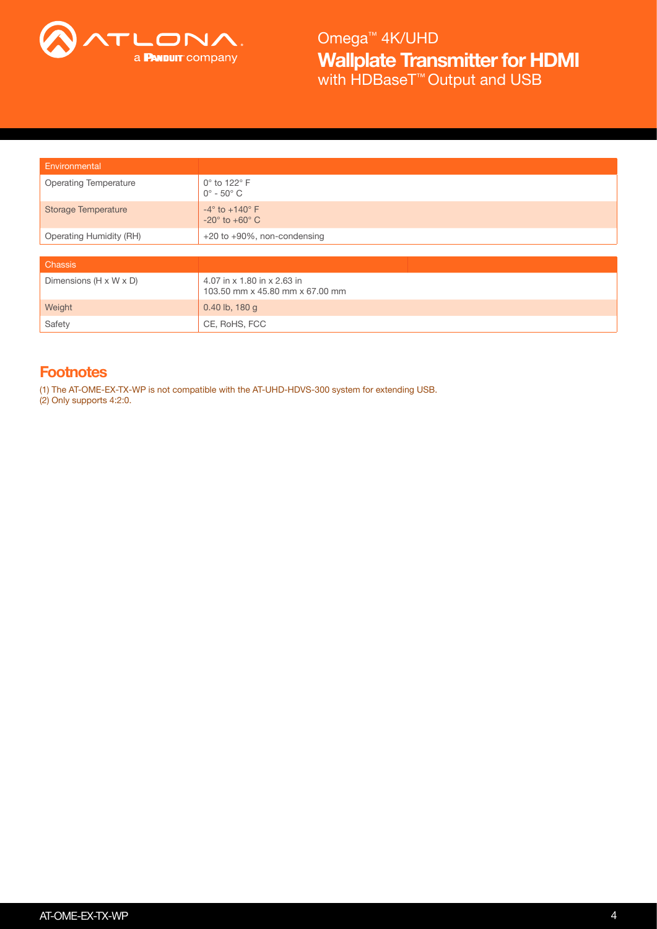

| Environmental                  |                                                                |  |
|--------------------------------|----------------------------------------------------------------|--|
| <b>Operating Temperature</b>   | 0° to 122° F<br>$0^\circ$ - $50^\circ$ C                       |  |
| <b>Storage Temperature</b>     | $-4^\circ$ to $+140^\circ$ F<br>$-20^\circ$ to $+60^\circ$ C   |  |
| <b>Operating Humidity (RH)</b> | $+20$ to $+90\%$ , non-condensing                              |  |
|                                |                                                                |  |
| <b>Chassis</b>                 |                                                                |  |
| Dimensions (H x W x D)         | 4.07 in x 1.80 in x 2.63 in<br>103.50 mm x 45.80 mm x 67.00 mm |  |
| Weight                         | 0.40 lb, $180 g$                                               |  |
| Safety                         | CE, RoHS, FCC                                                  |  |

## **Footnotes**

(1) The AT-OME-EX-TX-WP is not compatible with the AT-UHD-HDVS-300 system for extending USB.

(2) Only supports 4:2:0.